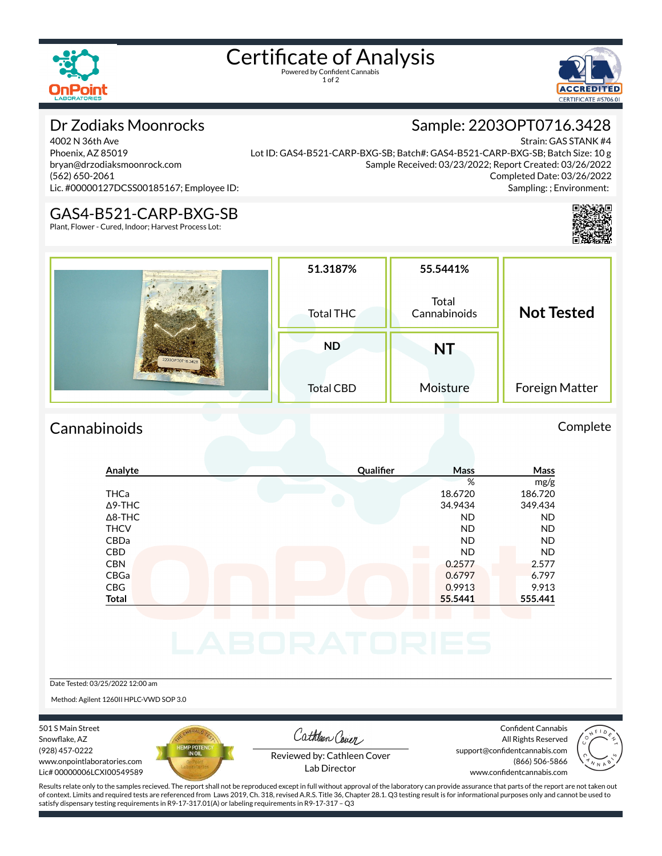

# Certificate of Analysis

1 of 2



# Dr Zodiaks Moonrocks

4002 N 36th Ave Phoenix, AZ 85019 bryan@drzodiaksmoonrock.com (562) 650-2061 Lic. #00000127DCSS00185167; Employee ID:

Strain: GAS STANK #4 Lot ID: GAS4-B521-CARP-BXG-SB; Batch#: GAS4-B521-CARP-BXG-SB; Batch Size: 10 g Sample Received: 03/23/2022; Report Created: 03/26/2022 Completed Date: 03/26/2022 Sampling: ; Environment:

Sample: 2203OPT0716.3428



### GAS4-B521-CARP-BXG-SB

Plant, Flower - Cured, Indoor; Harvest Process Lot:

|                  | 51.3187%  | 55.5441%              |                   |
|------------------|-----------|-----------------------|-------------------|
|                  | Total THC | Total<br>Cannabinoids | <b>Not Tested</b> |
|                  | <b>ND</b> | NT                    |                   |
| 2203OPT0716.3428 |           |                       |                   |

## Cannabinoids Complete

## **Analyte Qualier Mass Mass** % mg/g THCa 18.6720 186.720 Δ9-THC 34.9434 349.434 Δ8-THC ND ND THCV ND ND CBDa ND ND CBD A RESIDENCE OF A RESIDENCE OF A RESIDENCE OF A RESIDENCE OF A RESIDENCE OF A RESIDENCE OF A RESIDENCE OF A CBN 0.2577 2.577 CBGa 0.6797 6.797 CBG 0.9913 9.913 **Total 55.5441 555.441**

Date Tested: 03/25/2022 12:00 am

Method: Agilent 1260II HPLC-VWD SOP 3.0

501 S Main Street Snowflake, AZ (928) 457-0222 www.onpointlaboratories.com Lic# 00000006LCXI00549589



Cathleen Cover

Confident Cannabis All Rights Reserved support@confidentcannabis.com (866) 506-5866



Reviewed by: Cathleen Cover Lab Director

www.confidentcannabis.com

Results relate only to the samples recieved. The report shall not be reproduced except in full without approval of the laboratory can provide assurance that parts of the report are not taken out of context. Limits and required tests are referenced from Laws 2019, Ch. 318, revised A.R.S. Title 36, Chapter 28.1. Q3 testing result is for informational purposes only and cannot be used to satisfy dispensary testing requirements in R9-17-317.01(A) or labeling requirements in R9-17-317 – Q3